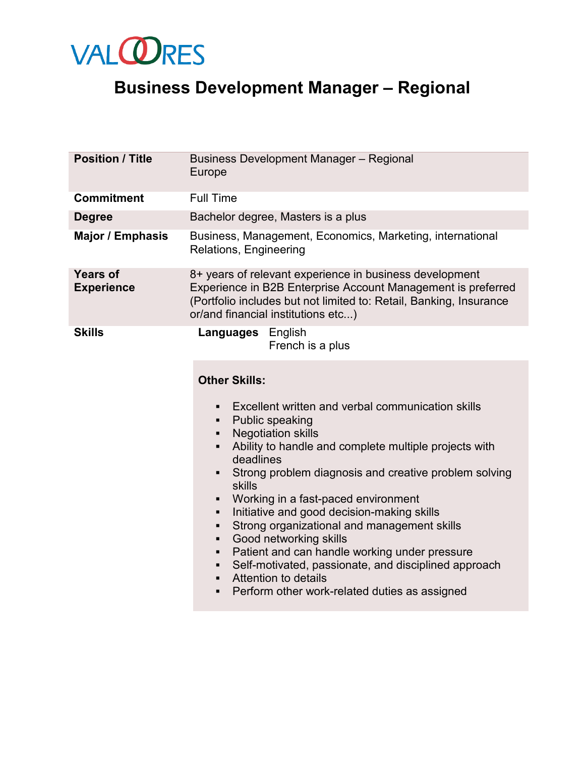

## **Business Development Manager – Regional**

| <b>Position / Title</b>              | <b>Business Development Manager - Regional</b><br>Europe                                                                                                                                                                                                                                                                                                                                                                                                                                                                                                                                                                                                                                                                                                          |
|--------------------------------------|-------------------------------------------------------------------------------------------------------------------------------------------------------------------------------------------------------------------------------------------------------------------------------------------------------------------------------------------------------------------------------------------------------------------------------------------------------------------------------------------------------------------------------------------------------------------------------------------------------------------------------------------------------------------------------------------------------------------------------------------------------------------|
| <b>Commitment</b>                    | <b>Full Time</b>                                                                                                                                                                                                                                                                                                                                                                                                                                                                                                                                                                                                                                                                                                                                                  |
| <b>Degree</b>                        | Bachelor degree, Masters is a plus                                                                                                                                                                                                                                                                                                                                                                                                                                                                                                                                                                                                                                                                                                                                |
| <b>Major / Emphasis</b>              | Business, Management, Economics, Marketing, international<br>Relations, Engineering                                                                                                                                                                                                                                                                                                                                                                                                                                                                                                                                                                                                                                                                               |
| <b>Years of</b><br><b>Experience</b> | 8+ years of relevant experience in business development<br>Experience in B2B Enterprise Account Management is preferred<br>(Portfolio includes but not limited to: Retail, Banking, Insurance<br>or/and financial institutions etc)                                                                                                                                                                                                                                                                                                                                                                                                                                                                                                                               |
| <b>Skills</b>                        | <b>Languages</b> English<br>French is a plus                                                                                                                                                                                                                                                                                                                                                                                                                                                                                                                                                                                                                                                                                                                      |
|                                      | <b>Other Skills:</b><br>Excellent written and verbal communication skills<br>$\blacksquare$<br>Public speaking<br>٠<br><b>Negotiation skills</b><br>٠<br>Ability to handle and complete multiple projects with<br>$\blacksquare$<br>deadlines<br>Strong problem diagnosis and creative problem solving<br>$\blacksquare$<br>skills<br>Working in a fast-paced environment<br>٠<br>Initiative and good decision-making skills<br>٠<br>Strong organizational and management skills<br>٠<br>Good networking skills<br>٠<br>Patient and can handle working under pressure<br>$\blacksquare$<br>Self-motivated, passionate, and disciplined approach<br>٠<br>Attention to details<br>$\blacksquare$<br>Perform other work-related duties as assigned<br>$\blacksquare$ |
|                                      |                                                                                                                                                                                                                                                                                                                                                                                                                                                                                                                                                                                                                                                                                                                                                                   |